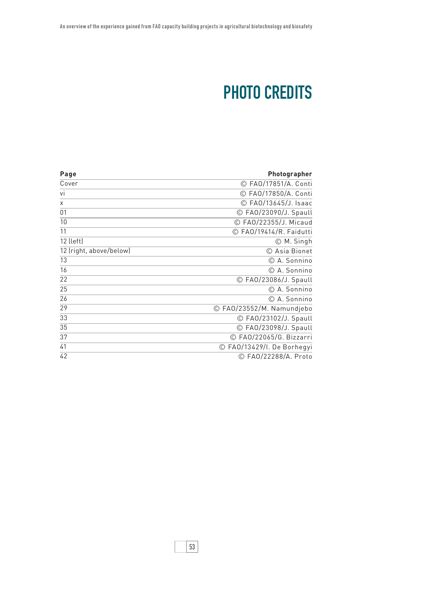## PHOTO CREDITS

| Page                    | Photographer                        |
|-------------------------|-------------------------------------|
| Cover                   | © FA0/17851/A. Conti                |
| vi                      | © FA0/17850/A. Conti                |
| X                       | © FA0/13645/J. Isaac                |
| 01                      | © FAO/23090/J. Spaull               |
| 10                      | © FA0/22355/J. Micaud               |
| 11                      | © FAO/19414/R. Faidutti             |
| 12 (left)               | © M. Singh                          |
| 12 (right, above/below) | © Asia Bionet                       |
| 13                      | © A. Sonnino                        |
| 16                      | © A. Sonnino                        |
| 22                      | © FA0/23086/J. Spaull               |
| 25                      | © A. Sonnino                        |
| 26                      | C A. Sonnino                        |
| 29                      | © FAO/23552/M. Namundjebo           |
| 33                      | © FA0/23102/J. Spaull               |
| 35                      | © FA0/23098/J. Spaull               |
| 37                      | © FA0/22065/G. Bizzarri             |
| 41                      | FAO/13429/I. De Borhegyi<br>$\odot$ |
| 42                      | © FA0/22288/A. Proto                |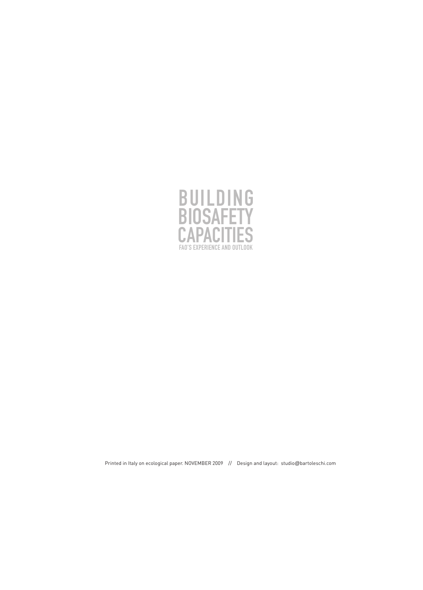

Printed in Italy on ecological paper. NOVEMBER 2009 // Design and layout: studio@bartoleschi.com